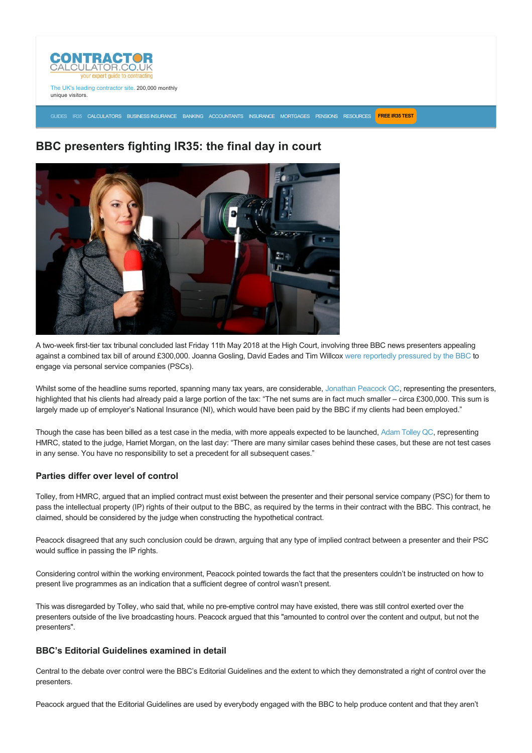

The UK's leading contractor site. 200,000 monthly unique visitors.

[GUIDES](https://www.contractorcalculator.co.uk/articles.aspx) [IR35](https://www.contractorcalculator.co.uk/ir35.aspx) [CALCULATORS](https://www.contractorcalculator.co.uk/calculators.aspx) [BUSINESS INSURANCE](https://www.contractorcalculator.co.uk/contractor_insurances.aspx) [BANKING](https://www.contractorcalculator.co.uk/contractor_banking.aspx) [ACCOUNTANTS](https://www.contractorcalculator.co.uk/contractor_accountant_services.aspx) [INSURANCE](https://www.contractorcalculator.co.uk/insurance.aspx) [MORTGAGES](https://www.contractorcalculator.co.uk/contractor_mortgages.aspx) [PENSIONS](https://www.contractorcalculator.co.uk/contractor_pensions.aspx) [RESOURCES](https://www.contractorcalculator.co.uk/contractor_resources.aspx) **[FREE IR35 TEST](https://www.ir35testing.co.uk/TakeTheTest)**

# **BBC presenters fighting IR35: the final day in court**



A two-week first-tier tax tribunal concluded last Friday 11th May 2018 at the High Court, involving three BBC news presenters appealing against a combined tax bill of around £300,000. Joanna Gosling, David Eades and Tim Willcox [were reportedly pressured by the BBC](http://www.bbc.co.uk/news/entertainment-arts-43469566) to engage via personal service companies (PSCs).

Whilst some of the headline sums reported, spanning many tax years, are considerable, [Jonathan Peacock QC,](https://www.chambersandpartners.com/UK-Bar/person/233748/jonathan-peacock) representing the presenters, highlighted that his clients had already paid a large portion of the tax: "The net sums are in fact much smaller – circa £300,000. This sum is largely made up of employer's National Insurance (NI), which would have been paid by the BBC if my clients had been employed."

Though the case has been billed as a test case in the media, with more appeals expected to be launched, [Adam Tolley QC,](https://www.fountaincourt.co.uk/people/adam-tolley/) representing HMRC, stated to the judge, Harriet Morgan, on the last day: "There are many similar cases behind these cases, but these are not test cases in any sense. You have no responsibility to set a precedent for all subsequent cases."

## **Parties differ over level of control**

Tolley, from HMRC, argued that an implied contract must exist between the presenter and their personal service company (PSC) for them to pass the intellectual property (IP) rights of their output to the BBC, as required by the terms in their contract with the BBC. This contract, he claimed, should be considered by the judge when constructing the hypothetical contract.

Peacock disagreed that any such conclusion could be drawn, arguing that any type of implied contract between a presenter and their PSC would suffice in passing the IP rights.

Considering control within the working environment, Peacock pointed towards the fact that the presenters couldn't be instructed on how to present live programmes as an indication that a sufficient degree of control wasn't present.

This was disregarded by Tolley, who said that, while no pre-emptive control may have existed, there was still control exerted over the presenters outside of the live broadcasting hours. Peacock argued that this "amounted to control over the content and output, but not the presenters".

# **BBC's Editorial Guidelines examined in detail**

Central to the debate over control were the BBC's Editorial Guidelines and the extent to which they demonstrated a right of control over the presenters.

Peacock argued that the Editorial Guidelines are used by everybody engaged with the BBC to help produce content and that they aren't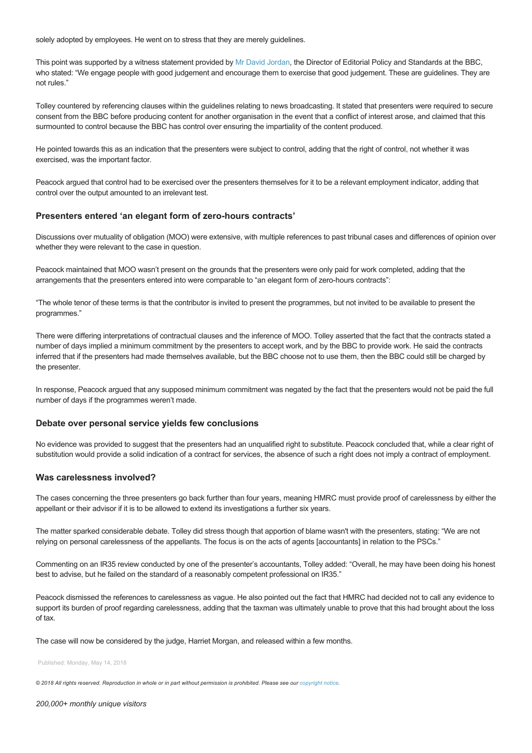solely adopted by employees. He went on to stress that they are merely guidelines.

This point was supported by a witness statement provided by [Mr David Jordan](http://www.bbc.co.uk/corporate2/insidethebbc/managementstructure/biographies/jordan_david), the Director of Editorial Policy and Standards at the BBC, who stated: "We engage people with good judgement and encourage them to exercise that good judgement. These are guidelines. They are not rules."

Tolley countered by referencing clauses within the guidelines relating to news broadcasting. It stated that presenters were required to secure consent from the BBC before producing content for another organisation in the event that a conflict of interest arose, and claimed that this surmounted to control because the BBC has control over ensuring the impartiality of the content produced.

He pointed towards this as an indication that the presenters were subject to control, adding that the right of control, not whether it was exercised, was the important factor.

Peacock argued that control had to be exercised over the presenters themselves for it to be a relevant employment indicator, adding that control over the output amounted to an irrelevant test.

### Presenters entered 'an elegant form of zero-hours contracts'

Discussions over mutuality of obligation (MOO) were extensive, with multiple references to past tribunal cases and differences of opinion over whether they were relevant to the case in question.

Peacock maintained that MOO wasn't present on the grounds that the presenters were only paid for work completed, adding that the arrangements that the presenters entered into were comparable to "an elegant form of zero-hours contracts":

"The whole tenor of these terms is that the contributor is invited to present the programmes, but not invited to be available to present the programmes."

There were differing interpretations of contractual clauses and the inference of MOO. Tolley asserted that the fact that the contracts stated a number of days implied a minimum commitment by the presenters to accept work, and by the BBC to provide work. He said the contracts inferred that if the presenters had made themselves available, but the BBC choose not to use them, then the BBC could still be charged by the presenter.

In response, Peacock argued that any supposed minimum commitment was negated by the fact that the presenters would not be paid the full number of days if the programmes weren't made.

#### **Debate over personal service yields few conclusions**

No evidence was provided to suggest that the presenters had an unqualified right to substitute. Peacock concluded that, while a clear right of substitution would provide a solid indication of a contract for services, the absence of such a right does not imply a contract of employment.

#### **Was carelessness involved?**

The cases concerning the three presenters go back further than four years, meaning HMRC must provide proof of carelessness by either the appellant or their advisor if it is to be allowed to extend its investigations a further six years.

The matter sparked considerable debate. Tolley did stress though that apportion of blame wasn't with the presenters, stating: "We are not relying on personal carelessness of the appellants. The focus is on the acts of agents [accountants] in relation to the PSCs."

Commenting on an IR35 review conducted by one of the presenter's accountants, Tolley added: "Overall, he may have been doing his honest best to advise, but he failed on the standard of a reasonably competent professional on IR35."

Peacock dismissed the references to carelessness as vague. He also pointed out the fact that HMRC had decided not to call any evidence to support its burden of proof regarding carelessness, adding that the taxman was ultimately unable to prove that this had brought about the loss of tax.

The case will now be considered by the judge, Harriet Morgan, and released within a few months.

Published: Monday, May 14, 2018

*© 2018 All rights reserved. Reproduction in whole or in part without permission is prohibited. Please see our [copyright notice](https://www.contractorcalculator.co.uk/copyright.aspx).*

*200,000+ monthly unique visitors*